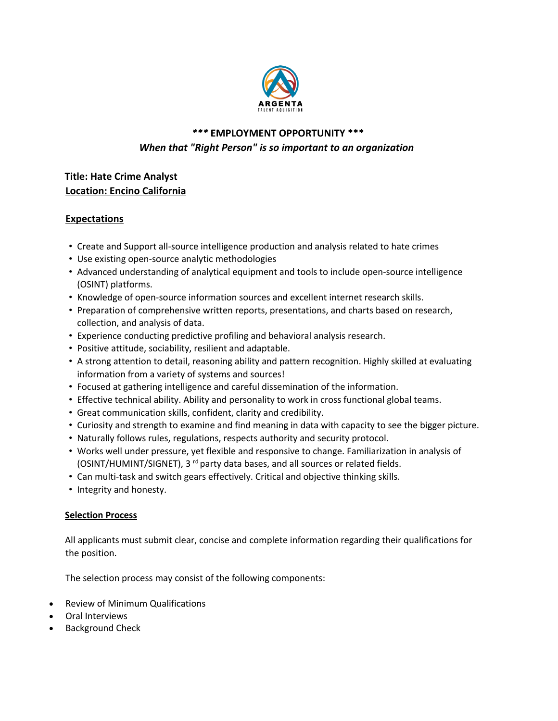

# *\*\*\** **EMPLOYMENT OPPORTUNITY \*\*\*** *When that "Right Person" is so important to an organization*

## **Title: Hate Crime Analyst Location: Encino California**

## **Expectations**

- Create and Support all-source intelligence production and analysis related to hate crimes
- Use existing open-source analytic methodologies
- Advanced understanding of analytical equipment and tools to include open-source intelligence (OSINT) platforms.
- Knowledge of open-source information sources and excellent internet research skills.
- Preparation of comprehensive written reports, presentations, and charts based on research, collection, and analysis of data.
- Experience conducting predictive profiling and behavioral analysis research.
- Positive attitude, sociability, resilient and adaptable.
- A strong attention to detail, reasoning ability and pattern recognition. Highly skilled at evaluating information from a variety of systems and sources!
- Focused at gathering intelligence and careful dissemination of the information.
- Effective technical ability. Ability and personality to work in cross functional global teams.
- Great communication skills, confident, clarity and credibility.
- Curiosity and strength to examine and find meaning in data with capacity to see the bigger picture.
- Naturally follows rules, regulations, respects authority and security protocol.
- Works well under pressure, yet flexible and responsive to change. Familiarization in analysis of (OSINT/HUMINT/SIGNET), 3<sup>rd</sup> party data bases, and all sources or related fields.
- Can multi-task and switch gears effectively. Critical and objective thinking skills.
- Integrity and honesty.

#### **Selection Process**

All applicants must submit clear, concise and complete information regarding their qualifications for the position.

The selection process may consist of the following components:

- Review of Minimum Qualifications
- Oral Interviews
- Background Check